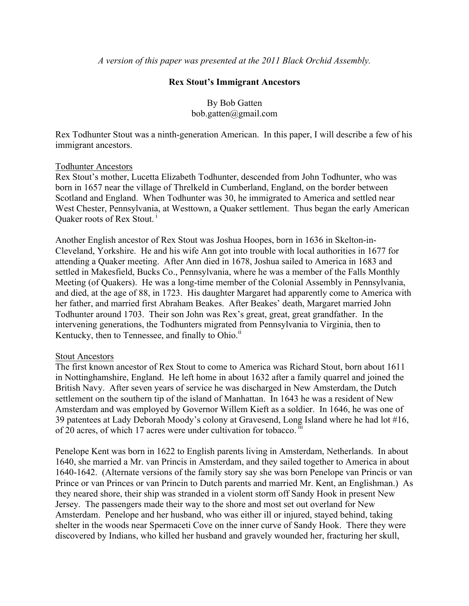*A version of this paper was presented at the 2011 Black Orchid Assembly.*

## **Rex Stout's Immigrant Ancestors**

By Bob Gatten bob.gatten@gmail.com

Rex Todhunter Stout was a ninth-generation American. In this paper, I will describe a few of his immigrant ancestors.

## Todhunter Ancestors

Rex Stout's mother, Lucetta Elizabeth Todhunter, descended from John Todhunter, who was born in 1657 near the village of Threlkeld in Cumberland, England, on the border between Scotland and England. When Todhunter was 30, he immigrated to America and settled near West Chester, Pennsylvania, at Westtown, a Quaker settlement. Thus began the early American Quaker roots of Rex Stout.<sup>1</sup>

Another English ancestor of Rex Stout was Joshua Hoopes, born in 1636 in Skelton-in-Cleveland, Yorkshire. He and his wife Ann got into trouble with local authorities in 1677 for attending a Quaker meeting. After Ann died in 1678, Joshua sailed to America in 1683 and settled in Makesfield, Bucks Co., Pennsylvania, where he was a member of the Falls Monthly Meeting (of Quakers). He was a long-time member of the Colonial Assembly in Pennsylvania, and died, at the age of 88, in 1723. His daughter Margaret had apparently come to America with her father, and married first Abraham Beakes. After Beakes' death, Margaret married John Todhunter around 1703. Their son John was Rex's great, great, great grandfather. In the intervening generations, the Todhunters migrated from Pennsylvania to Virginia, then to Kentucky, then to Tennessee, and finally to Ohio.<sup>ii</sup>

## Stout Ancestors

The first known ancestor of Rex Stout to come to America was Richard Stout, born about 1611 in Nottinghamshire, England. He left home in about 1632 after a family quarrel and joined the British Navy. After seven years of service he was discharged in New Amsterdam, the Dutch settlement on the southern tip of the island of Manhattan. In 1643 he was a resident of New Amsterdam and was employed by Governor Willem Kieft as a soldier. In 1646, he was one of 39 patentees at Lady Deborah Moody's colony at Gravesend, Long Island where he had lot #16, of 20 acres, of which 17 acres were under cultivation for tobacco.  $\overline{a}$ 

Penelope Kent was born in 1622 to English parents living in Amsterdam, Netherlands. In about 1640, she married a Mr. van Princis in Amsterdam, and they sailed together to America in about 1640-1642. (Alternate versions of the family story say she was born Penelope van Princis or van Prince or van Princes or van Princin to Dutch parents and married Mr. Kent, an Englishman.) As they neared shore, their ship was stranded in a violent storm off Sandy Hook in present New Jersey. The passengers made their way to the shore and most set out overland for New Amsterdam. Penelope and her husband, who was either ill or injured, stayed behind, taking shelter in the woods near Spermaceti Cove on the inner curve of Sandy Hook. There they were discovered by Indians, who killed her husband and gravely wounded her, fracturing her skull,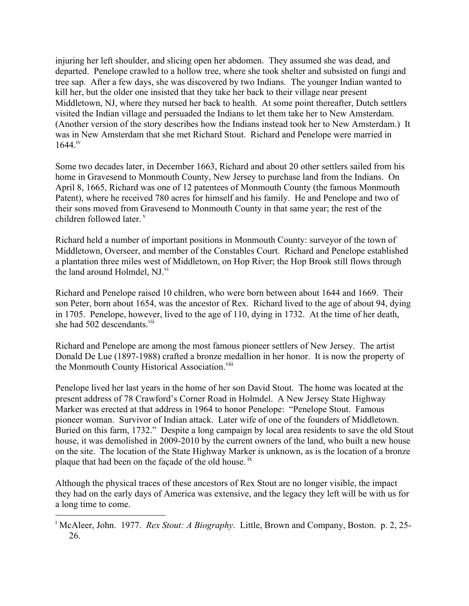injuring her left shoulder, and slicing open her abdomen. They assumed she was dead, and departed. Penelope crawled to a hollow tree, where she took shelter and subsisted on fungi and tree sap. After a few days, she was discovered by two Indians. The younger Indian wanted to kill her, but the older one insisted that they take her back to their village near present Middletown, NJ, where they nursed her back to health. At some point thereafter, Dutch settlers visited the Indian village and persuaded the Indians to let them take her to New Amsterdam. (Another version of the story describes how the Indians instead took her to New Amsterdam.) It was in New Amsterdam that she met Richard Stout. Richard and Penelope were married in 1644.<sup>iv</sup>

Some two decades later, in December 1663, Richard and about 20 other settlers sailed from his home in Gravesend to Monmouth County, New Jersey to purchase land from the Indians. On April 8, 1665, Richard was one of 12 patentees of Monmouth County (the famous Monmouth Patent), where he received 780 acres for himself and his family. He and Penelope and two of their sons moved from Gravesend to Monmouth County in that same year; the rest of the children followed later.<sup>v</sup>

Richard held a number of important positions in Monmouth County: surveyor of the town of Middletown, Overseer, and member of the Constables Court. Richard and Penelope established a plantation three miles west of Middletown, on Hop River; the Hop Brook still flows through the land around Holmdel, NJ.<sup>VI</sup>

Richard and Penelope raised 10 children, who were born between about 1644 and 1669. Their son Peter, born about 1654, was the ancestor of Rex. Richard lived to the age of about 94, dying in 1705. Penelope, however, lived to the age of 110, dying in 1732. At the time of her death, she had 502 descendants.<sup>vii</sup>

Richard and Penelope are among the most famous pioneer settlers of New Jersey. The artist Donald De Lue (1897-1988) crafted a bronze medallion in her honor. It is now the property of the Monmouth County Historical Association.<sup>viii</sup>

Penelope lived her last years in the home of her son David Stout. The home was located at the present address of 78 Crawford's Corner Road in Holmdel. A New Jersey State Highway Marker was erected at that address in 1964 to honor Penelope: "Penelope Stout. Famous pioneer woman. Survivor of Indian attack. Later wife of one of the founders of Middletown. Buried on this farm, 1732." Despite a long campaign by local area residents to save the old Stout house, it was demolished in 2009-2010 by the current owners of the land, who built a new house on the site. The location of the State Highway Marker is unknown, as is the location of a bronze plaque that had been on the façade of the old house.<sup>ix</sup>

Although the physical traces of these ancestors of Rex Stout are no longer visible, the impact they had on the early days of America was extensive, and the legacy they left will be with us for a long time to come.

<sup>|&</sup>lt;br>i <sup>i</sup> McAleer, John. 1977. *Rex Stout: A Biography*. Little, Brown and Company, Boston. p. 2, 25-26.